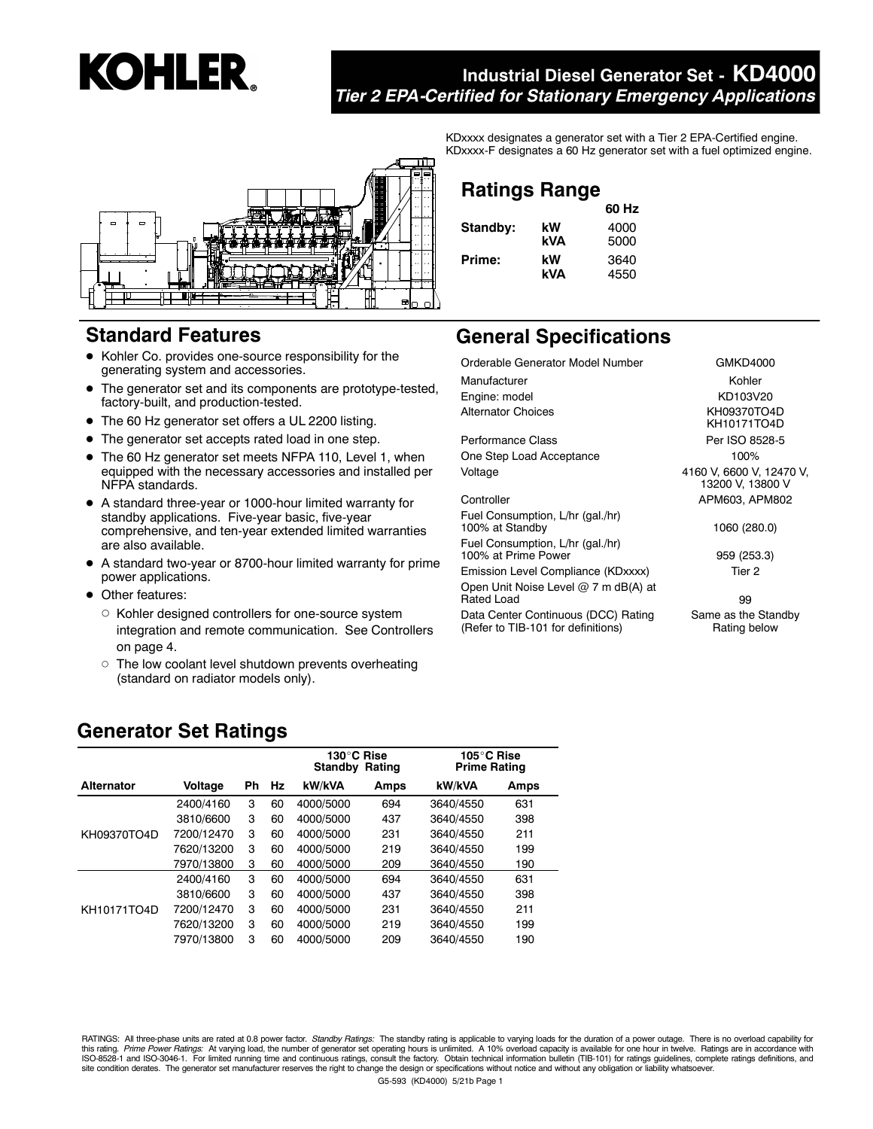# **KOHLER.**

# **Industrial Diesel Generator Set - KD4000** *Tier 2 EPA-Certified for Stationary Emergency Applications*



# **Standard Features**

- Kohler Co. provides one-source responsibility for the generating system and accessories.
- $\bullet$  The generator set and its components are prototype-tested, factory-built, and production-tested.
- The 60 Hz generator set offers a UL 2200 listing.
- The generator set accepts rated load in one step.
- The 60 Hz generator set meets NFPA 110, Level 1, when equipped with the necessary accessories and installed per NFPA standards.
- A standard three-year or 1000-hour limited warranty for standby applications. Five-year basic, five-year comprehensive, and ten-year extended limited warranties are also available.
- A standard two-year or 8700-hour limited warranty for prime power applications.
- Other features:
	- Kohler designed controllers for one-source system integration and remote communication. See Controllers on page 4.
	- o The low coolant level shutdown prevents overheating (standard on radiator models only).

KDxxxx designates a generator set with a Tier 2 EPA-Certified engine. KDxxxx-F designates a 60 Hz generator set with a fuel optimized engine.

# **Ratings Range**

|          |     | 60 Hz |
|----------|-----|-------|
| Standby: | kW  | 4000  |
|          | kVA | 5000  |
| Prime:   | kW  | 3640  |
|          | kVA | 4550  |

# **General Specifications**

Orderable Generator Model Number GMKD4000 Manufacturer **Kohler** Kohler Engine: model KD103V20 Alternator Choices KH09370TO4D

Performance Class Per ISO 8528-5 One Step Load Acceptance 100% Voltage 4160 V, 6600 V, 12470 V,

Fuel Consumption, L/hr (gal./hr) 100% at Standby 1060 (280.0)

Fuel Consumption, L/hr (gal./hr)

100% at Prime Power 959 (253.3)

Emission Level Compliance (KDxxxx) Tier 2 Open Unit Noise Level @ 7 m dB(A) at

Rated Load 99

Data Center Continuous (DCC) Rating (Refer to TIB-101 for definitions)

KH10171TO4D 13200 V, 13800 V Controller APM603, APM802

## Same as the Standby Rating below

# **Generator Set Ratings**

|                   |            |    |    | $130^\circ$ C Rise<br>Standby<br>Rating |      | 105°C Rise<br><b>Prime Rating</b> |      |
|-------------------|------------|----|----|-----------------------------------------|------|-----------------------------------|------|
| <b>Alternator</b> | Voltage    | Ph | Hz | <b>kW/kVA</b>                           | Amps | kW/kVA                            | Amps |
|                   | 2400/4160  | 3  | 60 | 4000/5000                               | 694  | 3640/4550                         | 631  |
|                   | 3810/6600  | 3  | 60 | 4000/5000                               | 437  | 3640/4550                         | 398  |
| KH09370TO4D       | 7200/12470 | 3  | 60 | 4000/5000                               | 231  | 3640/4550                         | 211  |
|                   | 7620/13200 | 3  | 60 | 4000/5000                               | 219  | 3640/4550                         | 199  |
|                   | 7970/13800 | 3  | 60 | 4000/5000                               | 209  | 3640/4550                         | 190  |
|                   | 2400/4160  | 3  | 60 | 4000/5000                               | 694  | 3640/4550                         | 631  |
|                   | 3810/6600  | 3  | 60 | 4000/5000                               | 437  | 3640/4550                         | 398  |
| KH10171TO4D       | 7200/12470 | 3  | 60 | 4000/5000                               | 231  | 3640/4550                         | 211  |
|                   | 7620/13200 | 3  | 60 | 4000/5000                               | 219  | 3640/4550                         | 199  |
|                   | 7970/13800 | 3  | 60 | 4000/5000                               | 209  | 3640/4550                         | 190  |

RATINGS: All three-phase units are rated at 0.8 power factor. Standby Ratings: The standby rating is applicable to varying loads for the duration of a power outage. There is no overload capability for this rating. *Prime Power Ratings*: At varying load, the number of generator set operating hours is unlimited. A 10% overload capacity is available for one hour in twelve. Ratings are in accordance with<br>ISO-8528-1 and ISOsite condition derates. The generator set manufacturer reserves the right to change the design or specifications without notice and without any obligation or liability whatsoever.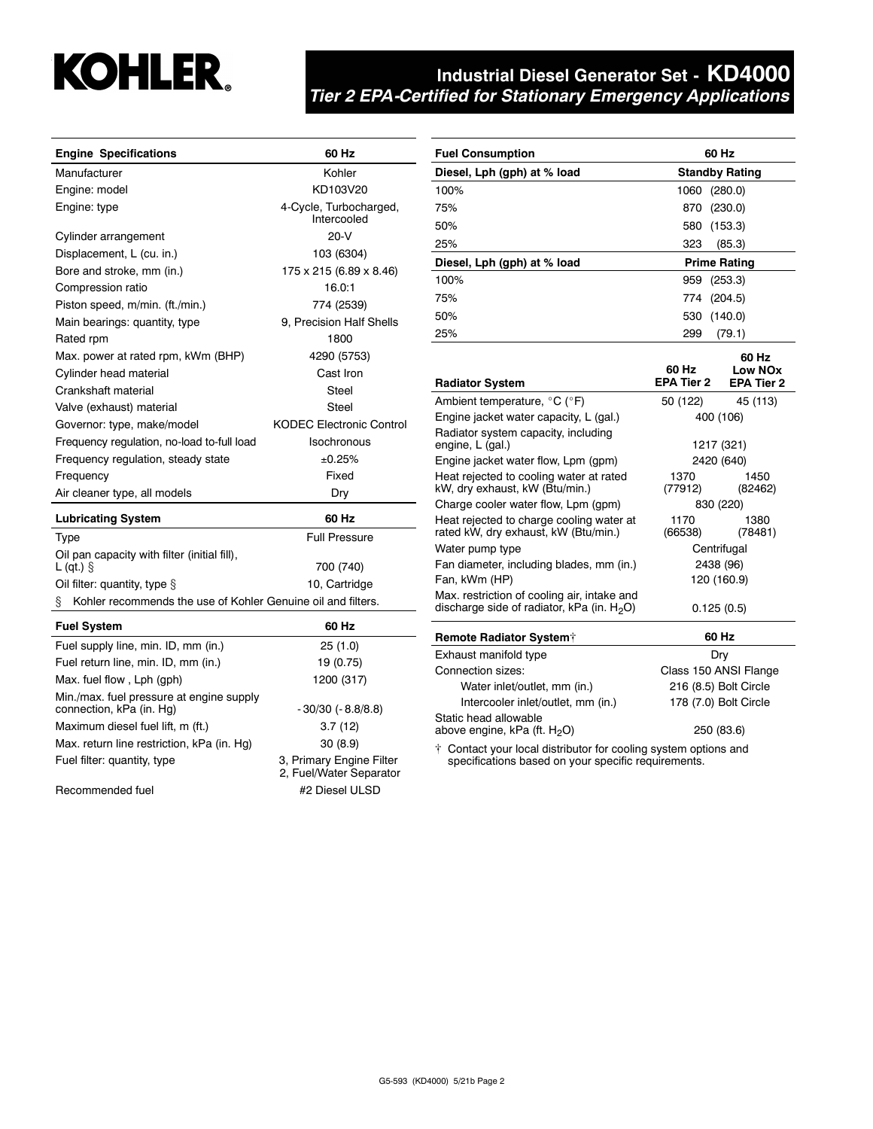

# **Industrial Diesel Generator Set - KD4000** *Tier 2 EPA-Certified for Stationary Emergency Applications*

| <b>Engine Specifications</b>                                       | 60 Hz                                 |  |
|--------------------------------------------------------------------|---------------------------------------|--|
| Manufacturer                                                       | Kohler                                |  |
| Engine: model                                                      | KD103V20                              |  |
| Engine: type                                                       | 4-Cycle, Turbocharged,<br>Intercooled |  |
| Cylinder arrangement                                               | $20-N$                                |  |
| Displacement, L (cu. in.)                                          | 103 (6304)                            |  |
| Bore and stroke, mm (in.)                                          | 175 x 215 (6.89 x 8.46)               |  |
| Compression ratio                                                  | 16.0:1                                |  |
| Piston speed, m/min. (ft./min.)                                    | 774 (2539)                            |  |
| Main bearings: quantity, type                                      | 9, Precision Half Shells              |  |
| Rated rpm                                                          | 1800                                  |  |
| Max. power at rated rpm, kWm (BHP)                                 | 4290 (5753)                           |  |
| Cylinder head material                                             | Cast Iron                             |  |
| Crankshaft material                                                | Steel                                 |  |
| Valve (exhaust) material                                           | Steel                                 |  |
| Governor: type, make/model                                         | <b>KODEC Electronic Control</b>       |  |
| Frequency regulation, no-load to-full load                         | Isochronous                           |  |
| Frequency regulation, steady state                                 | ±0.25%                                |  |
| Frequency                                                          | Fixed                                 |  |
| Air cleaner type, all models                                       | Dry                                   |  |
| <b>Lubricating System</b>                                          | 60 Hz                                 |  |
| <b>Type</b>                                                        | <b>Full Pressure</b>                  |  |
| Oil pan capacity with filter (initial fill),<br>$L$ (qt.) $\S$     | 700 (740)                             |  |
| Oil filter: quantity, type $\S$                                    | 10, Cartridge                         |  |
| Kohler recommends the use of Kohler Genuine oil and filters.<br>§. |                                       |  |
| <b>Fuel System</b>                                                 | 60 Hz                                 |  |

| <b>Fuel System</b>                                                   | 60 Hz                                               |
|----------------------------------------------------------------------|-----------------------------------------------------|
| Fuel supply line, min. ID, mm (in.)                                  | 25(1.0)                                             |
| Fuel return line, min. ID, mm (in.)                                  | 19 (0.75)                                           |
| Max. fuel flow, Lph (gph)                                            | 1200 (317)                                          |
| Min./max. fuel pressure at engine supply<br>connection, kPa (in. Hg) | $-30/30$ ( $-8.8/8.8$ )                             |
| Maximum diesel fuel lift, m (ft.)                                    | 3.7(12)                                             |
| Max. return line restriction, kPa (in. Hq)                           | 30(8.9)                                             |
| Fuel filter: quantity, type                                          | 3, Primary Engine Filter<br>2, Fuel/Water Separator |
| Recommended fuel                                                     | #2 Diesel ULSD                                      |

| <b>Fuel Consumption</b>     | 60 Hz                 |
|-----------------------------|-----------------------|
| Diesel, Lph (gph) at % load | <b>Standby Rating</b> |
| 100%                        | 1060 (280.0)          |
| 75%                         | 870 (230.0)           |
| 50%                         | 580<br>(153.3)        |
| 25%                         | (85.3)<br>323         |
| Diesel, Lph (gph) at % load | <b>Prime Rating</b>   |
| 100%                        | 959 (253.3)           |
| 75%                         | 774 (204.5)           |
| 50%                         | 530 (140.0)           |
| 25%                         | (79.1)<br>299         |

|                                                                                              | 60 Hz           | 60 Hz<br>Low NO <sub>x</sub> |  |
|----------------------------------------------------------------------------------------------|-----------------|------------------------------|--|
| <b>Radiator System</b>                                                                       |                 | EPA Tier 2 EPA Tier 2        |  |
| Ambient temperature, $^{\circ}$ C ( $^{\circ}$ F)                                            | 50 (122)        | 45 (113)                     |  |
| Engine jacket water capacity, L (gal.)                                                       | 400 (106)       |                              |  |
| Radiator system capacity, including<br>engine, L (gal.)                                      |                 | 1217 (321)                   |  |
| Engine jacket water flow, Lpm (gpm)                                                          | 2420 (640)      |                              |  |
| Heat rejected to cooling water at rated<br>kW, dry exhaust, kW (Btu/min.)                    | 1370<br>(77912) | 1450<br>(82462)              |  |
| Charge cooler water flow, Lpm (gpm)                                                          | 830 (220)       |                              |  |
| Heat rejected to charge cooling water at<br>rated kW, dry exhaust, kW (Btu/min.)             | 1170<br>(66538) | 1380<br>(78481)              |  |
| Water pump type                                                                              | Centrifugal     |                              |  |
| Fan diameter, including blades, mm (in.)                                                     | 2438 (96)       |                              |  |
| Fan, kWm (HP)                                                                                |                 | 120 (160.9)                  |  |
| Max. restriction of cooling air, intake and<br>discharge side of radiator, kPa (in. $H_2O$ ) | 0.125(0.5)      |                              |  |
| Remote Radiator System <sup>+</sup>                                                          |                 | 60 Hz                        |  |
| Exhaust manifold type                                                                        |                 | Dry                          |  |
|                                                                                              |                 |                              |  |

| LAHQUSL IHQHIIVIU IYPU                                                          | טוש                   |  |
|---------------------------------------------------------------------------------|-----------------------|--|
| Connection sizes:                                                               | Class 150 ANSI Flange |  |
| Water inlet/outlet, mm (in.)                                                    | 216 (8.5) Bolt Circle |  |
| Intercooler inlet/outlet, mm (in.)                                              | 178 (7.0) Bolt Circle |  |
| Static head allowable<br>above engine, kPa (ft. H <sub>2</sub> O)<br>250 (83.6) |                       |  |
| † Contact your local distributor for cooling system options and                 |                       |  |

specifications based on your specific requirements.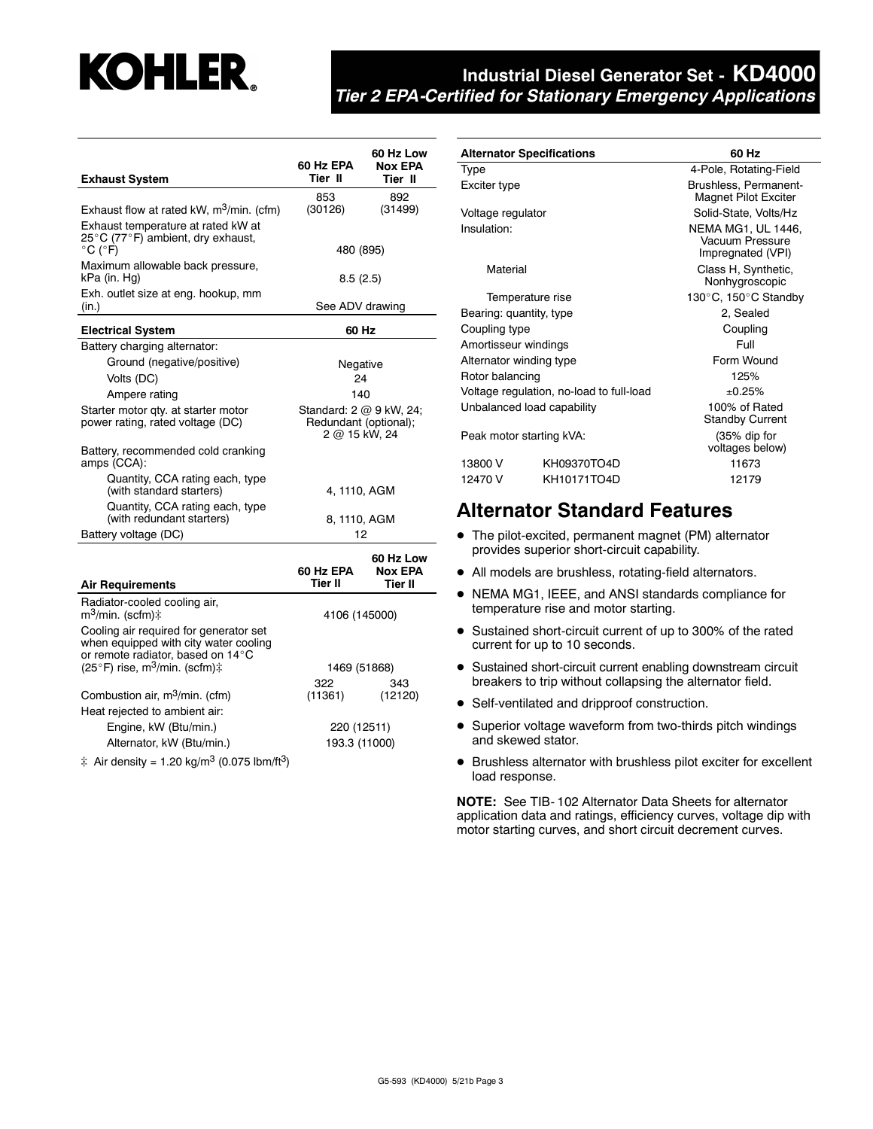# **KOHLER.**

# **Industrial Diesel Generator Set - KD4000** *Tier 2 EPA-Certified for Stationary Emergency Applications*

| <b>Exhaust System</b>                                                                                                | 60 Hz EPA<br>Tier II                                              | 60 Hz Low<br><b>Nox EPA</b><br>Tier II |  |
|----------------------------------------------------------------------------------------------------------------------|-------------------------------------------------------------------|----------------------------------------|--|
|                                                                                                                      | 853                                                               | 892                                    |  |
| Exhaust flow at rated kW, m <sup>3</sup> /min. (cfm)                                                                 | (30126)                                                           | (31499)                                |  |
| Exhaust temperature at rated kW at<br>25°C (77°F) ambient, dry exhaust,<br>$^{\circ}$ C ( $^{\circ}$ F)              | 480 (895)                                                         |                                        |  |
| Maximum allowable back pressure,                                                                                     |                                                                   |                                        |  |
| kPa (in. Hg)                                                                                                         | 8.5(2.5)                                                          |                                        |  |
| Exh. outlet size at eng. hookup, mm<br>(in.)                                                                         | See ADV drawing                                                   |                                        |  |
| <b>Electrical System</b>                                                                                             | 60 Hz                                                             |                                        |  |
| Battery charging alternator:                                                                                         |                                                                   |                                        |  |
| Ground (negative/positive)                                                                                           | Negative                                                          |                                        |  |
| Volts (DC)                                                                                                           | 24                                                                |                                        |  |
| Ampere rating                                                                                                        | 140                                                               |                                        |  |
| Starter motor qty. at starter motor<br>power rating, rated voltage (DC)                                              | Standard: 2 @ 9 kW, 24;<br>Redundant (optional);<br>2 @ 15 kW, 24 |                                        |  |
| Battery, recommended cold cranking<br>amps (CCA):                                                                    |                                                                   |                                        |  |
| Quantity, CCA rating each, type<br>(with standard starters)                                                          | 4, 1110, AGM                                                      |                                        |  |
| Quantity, CCA rating each, type<br>(with redundant starters)                                                         | 8, 1110, AGM                                                      |                                        |  |
| Battery voltage (DC)                                                                                                 | 12                                                                |                                        |  |
| <b>Air Requirements</b>                                                                                              | 60 Hz EPA<br>Tier II                                              | 60 Hz Low<br><b>Nox EPA</b><br>Tier II |  |
| Radiator-cooled cooling air,<br>m <sup>3</sup> /min. (scfm)‡                                                         | 4106 (145000)                                                     |                                        |  |
| Cooling air required for generator set<br>when equipped with city water cooling<br>or remote radiator, based on 14°C |                                                                   |                                        |  |
| (25°F) rise, m <sup>3</sup> /min. (scfm) $\ddagger$                                                                  | 1469 (51868)                                                      |                                        |  |
|                                                                                                                      | 322                                                               | 343                                    |  |
| Combustion air, m <sup>3</sup> /min. (cfm)                                                                           | (11361)                                                           | (12120)                                |  |
| Heat rejected to ambient air:                                                                                        |                                                                   |                                        |  |
| Engine, kW (Btu/min.)                                                                                                | 220 (12511)                                                       |                                        |  |
| Alternator, kW (Btu/min.)                                                                                            | 193.3 (11000)                                                     |                                        |  |
| ‡ Air density = 1.20 kg/m <sup>3</sup> (0.075 lbm/ft <sup>3</sup> )                                                  |                                                                   |                                        |  |

| <b>Alternator Specifications</b> |                                          | 60 Hz                                                      |  |  |
|----------------------------------|------------------------------------------|------------------------------------------------------------|--|--|
| <b>Type</b>                      |                                          | 4-Pole, Rotating-Field                                     |  |  |
| Exciter type                     |                                          | Brushless, Permanent-<br><b>Magnet Pilot Exciter</b>       |  |  |
| Voltage regulator                |                                          | Solid-State, Volts/Hz                                      |  |  |
| Insulation:                      |                                          | NEMA MG1, UL 1446,<br>Vacuum Pressure<br>Impregnated (VPI) |  |  |
| Material                         |                                          | Class H, Synthetic,<br>Nonhygroscopic                      |  |  |
| Temperature rise                 |                                          | 130°C, 150°C Standby                                       |  |  |
| Bearing: quantity, type          |                                          | 2, Sealed                                                  |  |  |
| Coupling type                    |                                          | Coupling                                                   |  |  |
| Amortisseur windings             |                                          | Full                                                       |  |  |
| Alternator winding type          |                                          | Form Wound                                                 |  |  |
| Rotor balancing                  |                                          | 125%                                                       |  |  |
|                                  | Voltage regulation, no-load to full-load | ±0.25%                                                     |  |  |
| Unbalanced load capability       |                                          | 100% of Rated<br><b>Standby Current</b>                    |  |  |
| Peak motor starting kVA:         |                                          | (35% dip for<br>voltages below)                            |  |  |
| 13800 V                          | KH09370TO4D                              | 11673                                                      |  |  |
| 12470 V                          | KH10171TO4D                              | 12179                                                      |  |  |

# **Alternator Standard Features**

- The pilot-excited, permanent magnet (PM) alternator provides superior short-circuit capability.
- All models are brushless, rotating-field alternators.
- NEMA MG1, IEEE, and ANSI standards compliance for temperature rise and motor starting.
- Sustained short-circuit current of up to 300% of the rated current for up to 10 seconds.
- **•** Sustained short-circuit current enabling downstream circuit breakers to trip without collapsing the alternator field.
- Self-ventilated and dripproof construction.
- Superior voltage waveform from two-thirds pitch windings and skewed stator.
- Brushless alternator with brushless pilot exciter for excellent load response.

**NOTE:** See TIB- 102 Alternator Data Sheets for alternator application data and ratings, efficiency curves, voltage dip with motor starting curves, and short circuit decrement curves.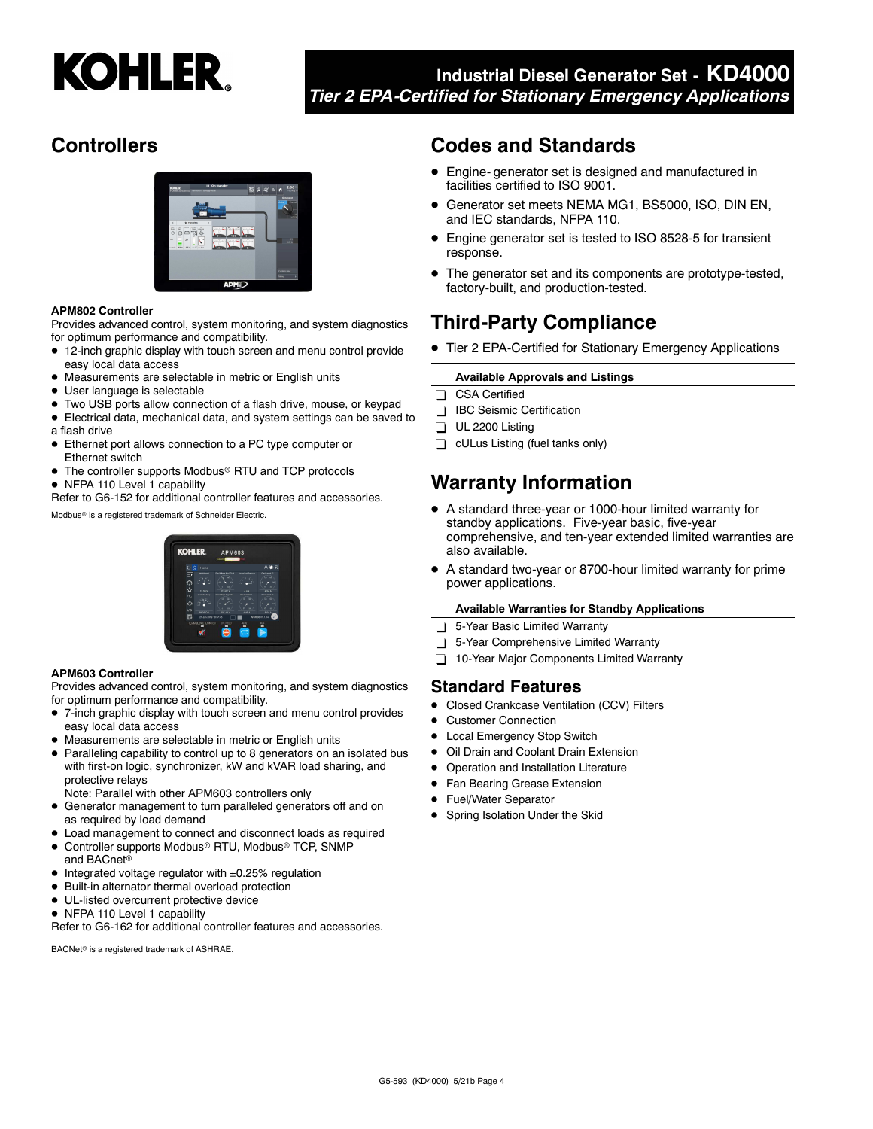

# **Industrial Diesel Generator Set - KD4000** *Tier 2 EPA-Certified for Stationary Emergency Applications*

# **Controllers**



#### **APM802 Controller**

Provides advanced control, system monitoring, and system diagnostics for optimum performance and compatibility.

- 12-inch graphic display with touch screen and menu control provide easy local data access
- Measurements are selectable in metric or English units
- $\bullet$ User language is selectable
- Two USB ports allow connection of a flash drive, mouse, or keypad
- Electrical data, mechanical data, and system settings can be saved to a flash drive
- Ethernet port allows connection to a PC type computer or Ethernet switch
- The controller supports Modbus® RTU and TCP protocols
- NFPA 110 Level 1 capability

Refer to G6-152 for additional controller features and accessories.

Modbus<sup>®</sup> is a registered trademark of Schneider Electric.

# **KOHI ED**

#### **APM603 Controller**

Provides advanced control, system monitoring, and system diagnostics for optimum performance and compatibility.

- 7-inch graphic display with touch screen and menu control provides easy local data access
- Measurements are selectable in metric or English units
- Paralleling capability to control up to 8 generators on an isolated bus with first-on logic, synchronizer, kW and kVAR load sharing, and protective relays
- Note: Parallel with other APM603 controllers only
- Generator management to turn paralleled generators off and on as required by load demand
- Load management to connect and disconnect loads as required
- $\bullet$ Controller supports Modbus® RTU, Modbus® TCP, SNMP and BACnet
- Integrated voltage regulator with ±0.25% regulation
- $\bullet$ Built-in alternator thermal overload protection
- $\bullet$  UL-listed overcurrent protective device
- NFPA 110 Level 1 capability

Refer to G6-162 for additional controller features and accessories.

BACNet<sup>®</sup> is a registered trademark of ASHRAE.

# **Codes and Standards**

- Engine- generator set is designed and manufactured in facilities certified to ISO 9001.
- $\bullet$  Generator set meets NEMA MG1, BS5000, ISO, DIN EN, and IEC standards, NFPA 110.
- Engine generator set is tested to ISO 8528-5 for transient response.
- The generator set and its components are prototype-tested, factory-built, and production-tested.

# **Third-Party Compliance**

● Tier 2 EPA-Certified for Stationary Emergency Applications

#### **Available Approvals and Listings**

- CSA Certified
- **IBC** Seismic Certification
- $\Box$  UL 2200 Listing
- **cULus Listing (fuel tanks only)**

# **Warranty Information**

- A standard three-year or 1000-hour limited warranty for standby applications. Five-year basic, five-year comprehensive, and ten-year extended limited warranties are also available.
- $\bullet$  A standard two-year or 8700-hour limited warranty for prime power applications.

#### **Available Warranties for Standby Applications**

- □ 5-Year Basic Limited Warranty
- 5-Year Comprehensive Limited Warranty
- 10-Year Major Components Limited Warranty

#### **Standard Features**

- $\bullet$ Closed Crankcase Ventilation (CCV) Filters
- $\bullet$ Customer Connection
- $\bullet$ Local Emergency Stop Switch
- $\bullet$ Oil Drain and Coolant Drain Extension
- $\bullet$ Operation and Installation Literature
- $\bullet$ Fan Bearing Grease Extension
- $\bullet$ Fuel/Water Separator
- **•** Spring Isolation Under the Skid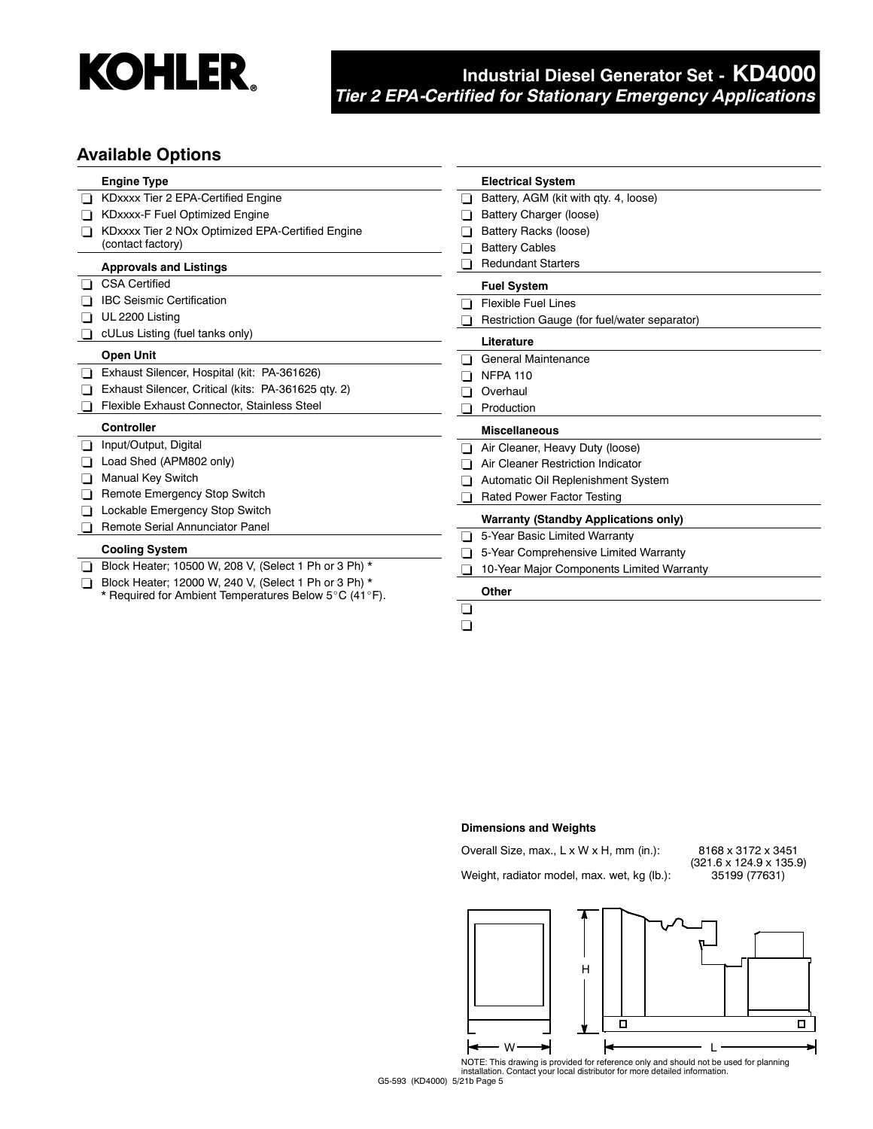

# **Industrial Diesel Generator Set - KD4000** *Tier 2 EPA-Certified for Stationary Emergency Applications*

### **Available Options**

|     | <b>Engine Type</b>                                    | <b>Electrical System</b>                                               |
|-----|-------------------------------------------------------|------------------------------------------------------------------------|
|     | KDxxxx Tier 2 EPA-Certified Engine                    | Battery, AGM (kit with qty. 4, loose)                                  |
|     | KDxxxx-F Fuel Optimized Engine                        | Battery Charger (loose)                                                |
| l 1 | KDxxxx Tier 2 NOx Optimized EPA-Certified Engine      | Battery Racks (loose)                                                  |
|     | (contact factory)                                     | <b>Battery Cables</b>                                                  |
|     | <b>Approvals and Listings</b>                         | <b>Redundant Starters</b>                                              |
|     | <b>CSA Certified</b>                                  | <b>Fuel System</b>                                                     |
|     | <b>IBC Seismic Certification</b>                      | <b>Flexible Fuel Lines</b>                                             |
|     | UL 2200 Listing                                       | Restriction Gauge (for fuel/water separator)                           |
|     | cULus Listing (fuel tanks only)                       | Literature                                                             |
|     | <b>Open Unit</b>                                      | General Maintenance                                                    |
|     | Exhaust Silencer, Hospital (kit: PA-361626)           | <b>NFPA 110</b>                                                        |
|     | Exhaust Silencer, Critical (kits: PA-361625 qty. 2)   | Overhaul                                                               |
|     | Flexible Exhaust Connector, Stainless Steel           | Production                                                             |
|     | <b>Controller</b>                                     | <b>Miscellaneous</b>                                                   |
|     | Input/Output, Digital                                 | Air Cleaner, Heavy Duty (loose)                                        |
|     | Load Shed (APM802 only)                               | Air Cleaner Restriction Indicator                                      |
| LΙ  | <b>Manual Key Switch</b>                              | Automatic Oil Replenishment System                                     |
|     | Remote Emergency Stop Switch                          | <b>Rated Power Factor Testing</b>                                      |
|     | Lockable Emergency Stop Switch                        |                                                                        |
|     | Remote Serial Annunciator Panel                       | <b>Warranty (Standby Applications only)</b>                            |
|     | <b>Cooling System</b>                                 | 5-Year Basic Limited Warranty<br>5-Year Comprehensive Limited Warranty |
|     | Block Heater; 10500 W, 208 V, (Select 1 Ph or 3 Ph) * |                                                                        |
| H   | Block Heater; 12000 W, 240 V, (Select 1 Ph or 3 Ph) * | 10-Year Major Components Limited Warranty                              |
|     | * Required for Ambient Temperatures Below 5°C (41°F). | Other                                                                  |
|     | ⊔                                                     |                                                                        |

 $\Box$ 

#### **Dimensions and Weights**

## Overall Size, max., L x W x H, mm (in.): 8168 x 3172 x 3451 Weight, radiator model, max. wet, kg (lb.):

 $(321.6 \times 124.9 \times 135.9)$ <br> $35199 (77631)$ 



NOTE: This drawing is provided for reference only and should not be used for planning installation. Contact your local distributor for more detailed information.

G5-593 (KD4000) 5/21b Page 5